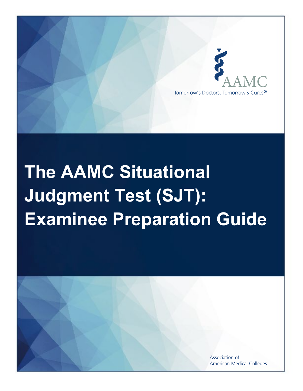

# **The AAMC Situational Judgment Test (SJT): Examinee Preparation Guide**

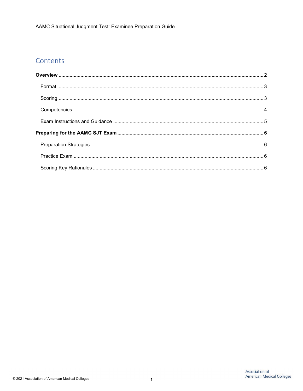## Contents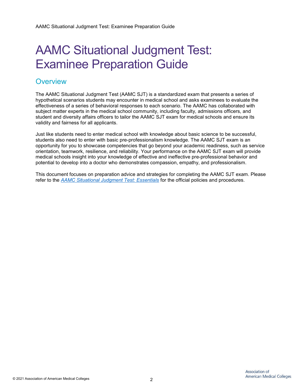# AAMC Situational Judgment Test: Examinee Preparation Guide

### <span id="page-2-0"></span>**Overview**

The AAMC Situational Judgment Test (AAMC SJT) is a standardized exam that presents a series of hypothetical scenarios students may encounter in medical school and asks examinees to evaluate the effectiveness of a series of behavioral responses to each scenario. The AAMC has collaborated with subject matter experts in the medical school community, including faculty, admissions officers, and student and diversity affairs officers to tailor the AAMC SJT exam for medical schools and ensure its validity and fairness for all applicants.

Just like students need to enter medical school with knowledge about basic science to be successful, students also need to enter with basic pre-professionalism knowledge. The AAMC SJT exam is an opportunity for you to showcase competencies that go beyond your academic readiness, such as service orientation, teamwork, resilience, and reliability. Your performance on the AAMC SJT exam will provide medical schools insight into your knowledge of effective and ineffective pre-professional behavior and potential to develop into a doctor who demonstrates compassion, empathy, and professionalism.

This document focuses on preparation advice and strategies for completing the AAMC SJT exam. Please refer to the *[AAMC Situational Judgment Test: Essentials](https://www.aamc.org/sjtessentials)* for the official policies and procedures.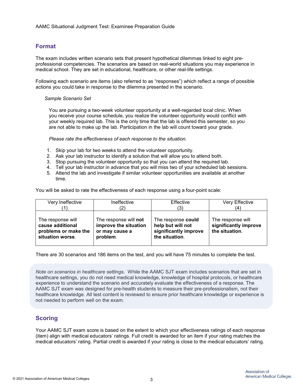#### <span id="page-3-0"></span>**Format**

The exam includes written scenario sets that present hypothetical dilemmas linked to eight preprofessional competencies. The scenarios are based on real-world situations you may experience in medical school. They are set in educational, healthcare, or other real-life settings.

Following each scenario are items (also referred to as "responses") which reflect a range of possible actions you could take in response to the dilemma presented in the scenario.

#### *Sample Scenario Set*

You are pursuing a two-week volunteer opportunity at a well-regarded local clinic. When you receive your course schedule, you realize the volunteer opportunity would conflict with your weekly required lab. This is the only time that the lab is offered this semester, so you are not able to make up the lab. Participation in the lab will count toward your grade.

*Please rate the effectiveness of each response to the situation.*

- 1. Skip your lab for two weeks to attend the volunteer opportunity.
- 2. Ask your lab instructor to identify a solution that will allow you to attend both.
- 3. Stop pursuing the volunteer opportunity so that you can attend the required lab.
- 4. Tell your lab instructor in advance that you will miss two of your scheduled lab sessions.
- 5. Attend the lab and investigate if similar volunteer opportunities are available at another time.

You will be asked to rate the effectiveness of each response using a four-point scale:

| Very Ineffective                                                                  | Ineffective                                                                  | Effective                                                                          | Very Effective                                               |
|-----------------------------------------------------------------------------------|------------------------------------------------------------------------------|------------------------------------------------------------------------------------|--------------------------------------------------------------|
|                                                                                   |                                                                              | (3)                                                                                |                                                              |
| The response will<br>cause additional<br>problems or make the<br>situation worse. | The response will not<br>improve the situation<br>or may cause a<br>problem. | The response could<br>help but will not<br>significantly improve<br>the situation. | The response will<br>significantly improve<br>the situation. |

There are 30 scenarios and 186 items on the test, and you will have 75 minutes to complete the test.

*Note on scenarios in healthcare settings.* While the AAMC SJT exam includes scenarios that are set in healthcare settings, you do not need medical knowledge, knowledge of hospital protocols, or healthcare experience to understand the scenario and accurately evaluate the effectiveness of a response. The AAMC SJT exam was designed for pre-health students to measure their pre-professionalism, not their healthcare knowledge. All test content is reviewed to ensure prior healthcare knowledge or experience is not needed to perform well on the exam.

#### <span id="page-3-1"></span>**Scoring**

Your AAMC SJT exam score is based on the extent to which your effectiveness ratings of each response (item) align with medical educators' ratings. Full credit is awarded for an item if your rating matches the medical educators' rating. Partial credit is awarded if your rating is close to the medical educators' rating.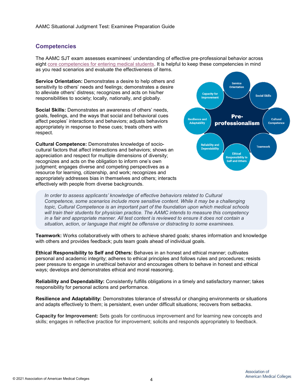#### <span id="page-4-0"></span>**Competencies**

The AAMC SJT exam assesses examinees' understanding of effective pre-professional behavior across eight [core competencies for entering medical students.](https://students-residents.aamc.org/applying-medical-school/article/core-competencies) It is helpful to keep these competencies in mind as you read scenarios and evaluate the effectiveness of items.

**Service Orientation:** Demonstrates a desire to help others and sensitivity to others' needs and feelings; demonstrates a desire to alleviate others' distress; recognizes and acts on his/her responsibilities to society; locally, nationally, and globally.

**Social Skills:** Demonstrates an awareness of others' needs, goals, feelings, and the ways that social and behavioral cues affect peoples' interactions and behaviors; adjusts behaviors appropriately in response to these cues; treats others with respect.

**Cultural Competence:** Demonstrates knowledge of sociocultural factors that affect interactions and behaviors; shows an appreciation and respect for multiple dimensions of diversity; recognizes and acts on the obligation to inform one's own judgment; engages diverse and competing perspectives as a resource for learning, citizenship, and work; recognizes and appropriately addresses bias in themselves and others; interacts effectively with people from diverse backgrounds.



*In order to assess applicants' knowledge of effective behaviors related to Cultural Competence, some scenarios include more sensitive content. While it may be a challenging topic, Cultural Competence is an important part of the foundation upon which medical schools will train their students for physician practice. The AAMC intends to measure this competency in a fair and appropriate manner. All test content is reviewed to ensure it does not contain a situation, action, or language that might be offensive or distracting to some examinees.*

**Teamwork:** Works collaboratively with others to achieve shared goals; shares information and knowledge with others and provides feedback; puts team goals ahead of individual goals.

**Ethical Responsibility to Self and Others:** Behaves in an honest and ethical manner; cultivates personal and academic integrity; adheres to ethical principles and follows rules and procedures; resists peer pressure to engage in unethical behavior and encourages others to behave in honest and ethical ways; develops and demonstrates ethical and moral reasoning.

**Reliability and Dependability:** Consistently fulfills obligations in a timely and satisfactory manner; takes responsibility for personal actions and performance.

**Resilience and Adaptability:** Demonstrates tolerance of stressful or changing environments or situations and adapts effectively to them; is persistent, even under difficult situations; recovers from setbacks.

**Capacity for Improvement:** Sets goals for continuous improvement and for learning new concepts and skills; engages in reflective practice for improvement; solicits and responds appropriately to feedback.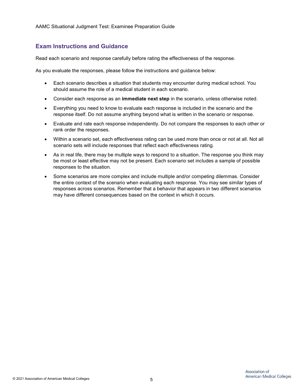#### <span id="page-5-0"></span>**Exam Instructions and Guidance**

Read each scenario and response carefully before rating the effectiveness of the response.

As you evaluate the responses, please follow the instructions and guidance below:

- Each scenario describes a situation that students may encounter during medical school. You should assume the role of a medical student in each scenario.
- Consider each response as an **immediate next step** in the scenario, unless otherwise noted.
- Everything you need to know to evaluate each response is included in the scenario and the response itself. Do not assume anything beyond what is written in the scenario or response.
- Evaluate and rate each response independently. Do not compare the responses to each other or rank order the responses.
- Within a scenario set, each effectiveness rating can be used more than once or not at all. Not all scenario sets will include responses that reflect each effectiveness rating.
- As in real life, there may be multiple ways to respond to a situation. The response you think may be most or least effective may not be present. Each scenario set includes a sample of possible responses to the situation.
- <span id="page-5-1"></span>• Some scenarios are more complex and include multiple and/or competing dilemmas. Consider the entire context of the scenario when evaluating each response. You may see similar types of responses across scenarios. Remember that a behavior that appears in two different scenarios may have different consequences based on the context in which it occurs.